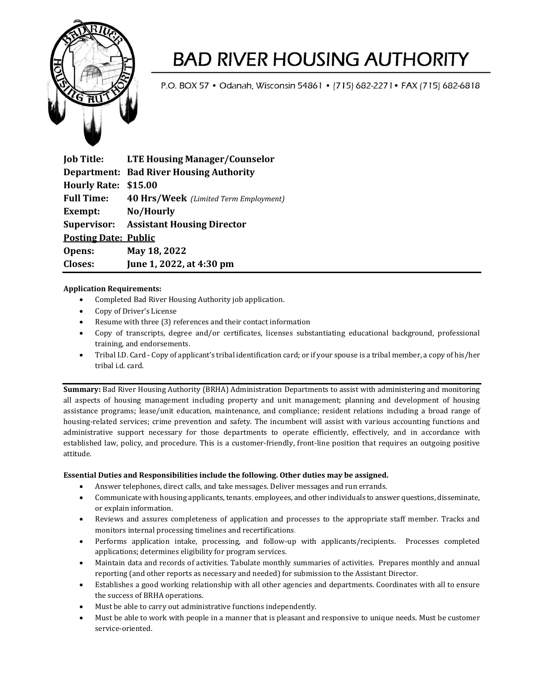

# **BAD RIVER HOUSING AUTHORITY**

P.O. BOX 57 . Odanah, Wisconsin 54861 . [715] 682-2271 . FAX [715] 682-6818

**Job Title: LTE Housing Manager/Counselor Department: Bad River Housing Authority Hourly Rate: \$15.00 Full Time: 40 Hrs/Week** *(Limited Term Employment)* **Exempt: No/Hourly Supervisor: Assistant Housing Director Posting Date: Public Opens: May 18, 2022 Closes: June 1, 2022, at 4:30 pm**

### **Application Requirements:**

- Completed Bad River Housing Authority job application.
- Copy of Driver's License
- Resume with three (3) references and their contact information
- Copy of transcripts, degree and/or certificates, licenses substantiating educational background, professional training, and endorsements.
- Tribal I.D. Card Copy of applicant's tribal identification card; or if your spouse is a tribal member, a copy of his/her tribal i.d. card.

**Summary:** Bad River Housing Authority (BRHA) Administration Departments to assist with administering and monitoring all aspects of housing management including property and unit management; planning and development of housing assistance programs; lease/unit education, maintenance, and compliance; resident relations including a broad range of housing-related services; crime prevention and safety. The incumbent will assist with various accounting functions and administrative support necessary for those departments to operate efficiently, effectively, and in accordance with established law, policy, and procedure. This is a customer-friendly, front-line position that requires an outgoing positive attitude.

### **Essential Duties and Responsibilities include the following. Other duties may be assigned.**

- Answer telephones, direct calls, and take messages. Deliver messages and run errands.
- Communicate with housing applicants, tenants, employees, and other individuals to answer questions, disseminate, or explain information.
- Reviews and assures completeness of application and processes to the appropriate staff member. Tracks and monitors internal processing timelines and recertifications.
- Performs application intake, processing, and follow-up with applicants/recipients. Processes completed applications; determines eligibility for program services.
- Maintain data and records of activities. Tabulate monthly summaries of activities. Prepares monthly and annual reporting (and other reports as necessary and needed) for submission to the Assistant Director.
- Establishes a good working relationship with all other agencies and departments. Coordinates with all to ensure the success of BRHA operations.
- Must be able to carry out administrative functions independently.
- Must be able to work with people in a manner that is pleasant and responsive to unique needs. Must be customer service-oriented.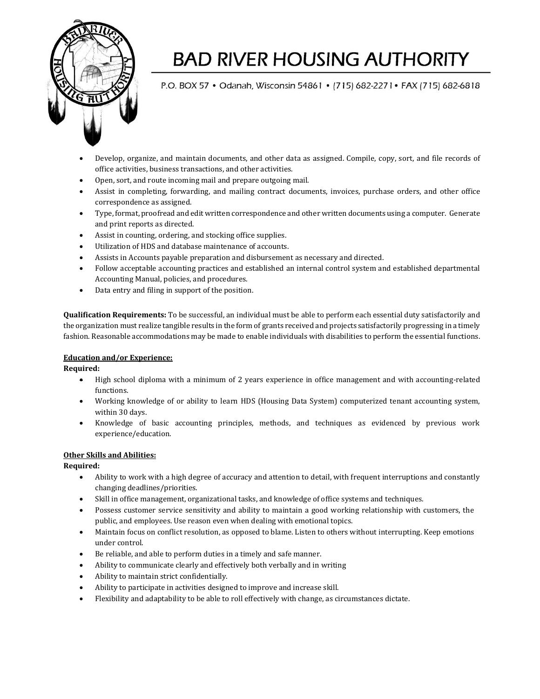

## **BAD RIVER HOUSING AUTHORITY**

P.O. BOX 57 . Odanah, Wisconsin 54861 . [715] 682-2271 . FAX [715] 682-6818

- Develop, organize, and maintain documents, and other data as assigned. Compile, copy, sort, and file records of office activities, business transactions, and other activities.
- Open, sort, and route incoming mail and prepare outgoing mail.
- Assist in completing, forwarding, and mailing contract documents, invoices, purchase orders, and other office correspondence as assigned.
- Type, format, proofread and edit written correspondence and other written documents using a computer. Generate and print reports as directed.
- Assist in counting, ordering, and stocking office supplies.
- Utilization of HDS and database maintenance of accounts.
- Assists in Accounts payable preparation and disbursement as necessary and directed.
- Follow acceptable accounting practices and established an internal control system and established departmental Accounting Manual, policies, and procedures.
- Data entry and filing in support of the position.

**Qualification Requirements:** To be successful, an individual must be able to perform each essential duty satisfactorily and the organization must realize tangible results in the form of grants received and projects satisfactorily progressing in a timely fashion. Reasonable accommodations may be made to enable individuals with disabilities to perform the essential functions.

### **Education and/or Experience:**

**Required:**

- High school diploma with a minimum of 2 years experience in office management and with accounting-related functions.
- Working knowledge of or ability to learn HDS (Housing Data System) computerized tenant accounting system, within 30 days.
- Knowledge of basic accounting principles, methods, and techniques as evidenced by previous work experience/education.

### **Other Skills and Abilities:**

**Required:**

- Ability to work with a high degree of accuracy and attention to detail, with frequent interruptions and constantly changing deadlines/priorities.
- Skill in office management, organizational tasks, and knowledge of office systems and techniques.
- Possess customer service sensitivity and ability to maintain a good working relationship with customers, the public, and employees. Use reason even when dealing with emotional topics.
- Maintain focus on conflict resolution, as opposed to blame. Listen to others without interrupting. Keep emotions under control.
- Be reliable, and able to perform duties in a timely and safe manner.
- Ability to communicate clearly and effectively both verbally and in writing
- Ability to maintain strict confidentially.
- Ability to participate in activities designed to improve and increase skill.
- Flexibility and adaptability to be able to roll effectively with change, as circumstances dictate.